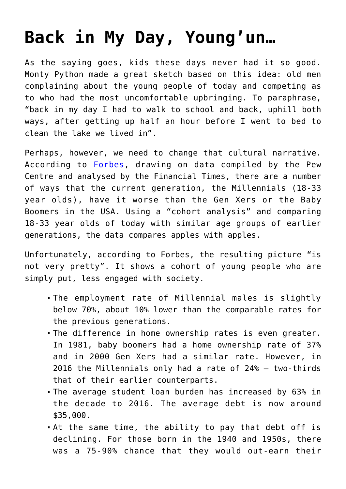## **[Back in My Day, Young'un…](https://intellectualtakeout.org/2017/11/back-in-my-day-youngun/)**

As the saying goes, kids these days never had it so good. Monty Python made a great sketch based on this idea: old men complaining about the young people of today and competing as to who had the most uncomfortable upbringing. To paraphrase, "back in my day I had to walk to school and back, uphill both ways, after getting up half an hour before I went to bed to clean the lake we lived in".

Perhaps, however, we need to change that cultural narrative. According to [Forbes](https://www.forbes.com/sites/scottmcdonald1/2017/11/14/taking-the-long-view-millennial-disadvantage-relative-to-other-generations/#144a4a917cea), drawing on data compiled by the Pew Centre and analysed by the Financial Times, there are a number of ways that the current generation, the Millennials (18-33 year olds), have it worse than the Gen Xers or the Baby Boomers in the USA. Using a "cohort analysis" and comparing 18-33 year olds of today with similar age groups of earlier generations, the data compares apples with apples.

Unfortunately, according to Forbes, the resulting picture "is not very pretty". It shows a cohort of young people who are simply put, less engaged with society.

- The employment rate of Millennial males is slightly below 70%, about 10% lower than the comparable rates for the previous generations.
- The difference in home ownership rates is even greater. In 1981, baby boomers had a home ownership rate of 37% and in 2000 Gen Xers had a similar rate. However, in 2016 the Millennials only had a rate of 24% – two-thirds that of their earlier counterparts.
- The average student loan burden has increased by 63% in the decade to 2016. The average debt is now around \$35,000.
- At the same time, the ability to pay that debt off is declining. For those born in the 1940 and 1950s, there was a 75-90% chance that they would out-earn their